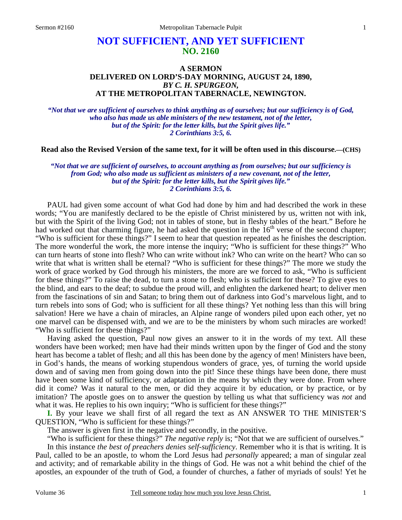# **NOT SUFFICIENT, AND YET SUFFICIENT NO. 2160**

## **A SERMON DELIVERED ON LORD'S-DAY MORNING, AUGUST 24, 1890,**  *BY C. H. SPURGEON,*  **AT THE METROPOLITAN TABERNACLE, NEWINGTON.**

*"Not that we are sufficient of ourselves to think anything as of ourselves; but our sufficiency is of God, who also has made us able ministers of the new testament, not of the letter, but of the Spirit: for the letter kills, but the Spirit gives life." 2 Corinthians 3:5, 6.* 

**Read also the Revised Version of the same text, for it will be often used in this discourse.—(CHS)**

*"Not that we are sufficient of ourselves, to account anything as from ourselves; but our sufficiency is from God; who also made us sufficient as ministers of a new covenant, not of the letter, but of the Spirit: for the letter kills, but the Spirit gives life." 2 Corinthians 3:5, 6.* 

PAUL had given some account of what God had done by him and had described the work in these words; "You are manifestly declared to be the epistle of Christ ministered by us, written not with ink, but with the Spirit of the living God; not in tables of stone, but in fleshy tables of the heart." Before he had worked out that charming figure, he had asked the question in the  $16<sup>th</sup>$  verse of the second chapter; "Who is sufficient for these things?" I seem to hear that question repeated as he finishes the description. The more wonderful the work, the more intense the inquiry; "Who is sufficient for these things?" Who can turn hearts of stone into flesh? Who can write without ink? Who can write on the heart? Who can so write that what is written shall be eternal? "Who is sufficient for these things?" The more we study the work of grace worked by God through his ministers, the more are we forced to ask, "Who is sufficient for these things?" To raise the dead, to turn a stone to flesh; who is sufficient for these? To give eyes to the blind, and ears to the deaf; to subdue the proud will, and enlighten the darkened heart; to deliver men from the fascinations of sin and Satan; to bring them out of darkness into God's marvelous light, and to turn rebels into sons of God; who is sufficient for all these things? Yet nothing less than this will bring salvation! Here we have a chain of miracles, an Alpine range of wonders piled upon each other, yet no one marvel can be dispensed with, and we are to be the ministers by whom such miracles are worked! "Who is sufficient for these things?"

 Having asked the question, Paul now gives an answer to it in the words of my text. All these wonders have been worked; men have had their minds written upon by the finger of God and the stony heart has become a tablet of flesh; and all this has been done by the agency of men! Ministers have been, in God's hands, the means of working stupendous wonders of grace, yes, of turning the world upside down and of saving men from going down into the pit! Since these things have been done, there must have been some kind of sufficiency, or adaptation in the means by which they were done. From where did it come? Was it natural to the men, or did they acquire it by education, or by practice, or by imitation? The apostle goes on to answer the question by telling us what that sufficiency was *not* and what it was. He replies to his own inquiry; "Who is sufficient for these things?"

**I.** By your leave we shall first of all regard the text as AN ANSWER TO THE MINISTER'S QUESTION, "Who is sufficient for these things?"

The answer is given first in the negative and secondly, in the positive.

"Who is sufficient for these things?" *The negative reply* is; "Not that we are sufficient of ourselves."

 In this instance *the best of preachers denies self-sufficiency*. Remember who it is that is writing. It is Paul, called to be an apostle, to whom the Lord Jesus had *personally* appeared; a man of singular zeal and activity; and of remarkable ability in the things of God. He was not a whit behind the chief of the apostles, an expounder of the truth of God, a founder of churches, a father of myriads of souls! Yet he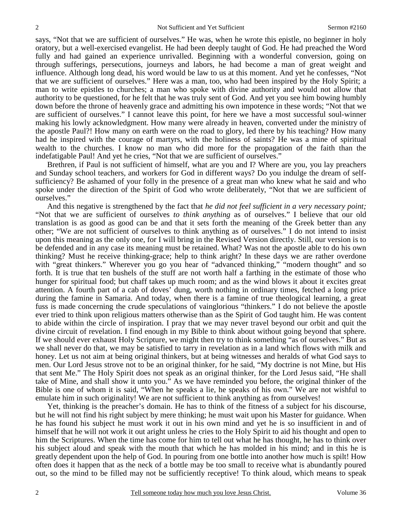says, "Not that we are sufficient of ourselves." He was, when he wrote this epistle, no beginner in holy oratory, but a well-exercised evangelist. He had been deeply taught of God. He had preached the Word fully and had gained an experience unrivalled. Beginning with a wonderful conversion, going on through sufferings, persecutions, journeys and labors, he had become a man of great weight and influence. Although long dead, his word would be law to us at this moment. And yet he confesses, "Not that we are sufficient of ourselves." Here was a man, too, who had been inspired by the Holy Spirit; a man to write epistles to churches; a man who spoke with divine authority and would not allow that authority to be questioned, for he felt that he was truly sent of God. And yet you see him bowing humbly down before the throne of heavenly grace and admitting his own impotence in these words; "Not that we are sufficient of ourselves." I cannot leave this point, for here we have a most successful soul-winner making his lowly acknowledgment. How many were already in heaven, converted under the ministry of the apostle Paul?! How many on earth were on the road to glory, led there by his teaching? How many had he inspired with the courage of martyrs, with the holiness of saints? He was a mine of spiritual wealth to the churches. I know no man who did more for the propagation of the faith than the indefatigable Paul! And yet he cries, "Not that we are sufficient of ourselves."

 Brethren, if Paul is not sufficient of himself, what are you and I? Where are you, you lay preachers and Sunday school teachers, and workers for God in different ways? Do you indulge the dream of selfsufficiency? Be ashamed of your folly in the presence of a great man who knew what he said and who spoke under the direction of the Spirit of God who wrote deliberately, "Not that we are sufficient of ourselves."

 And this negative is strengthened by the fact that *he did not feel sufficient in a very necessary point;*  "Not that we are sufficient of ourselves *to think anything* as of ourselves." I believe that our old translation is as good as good can be and that it sets forth the meaning of the Greek better than any other; "We are not sufficient of ourselves to think anything as of ourselves." I do not intend to insist upon this meaning as the only one, for I will bring in the Revised Version directly. Still, our version is to be defended and in any case its meaning must be retained. What? Was not the apostle able to do his own thinking? Must he receive thinking-grace; help to think aright? In these days we are rather overdone with "great thinkers." Wherever you go you hear of "advanced thinking," "modern thought" and so forth. It is true that ten bushels of the stuff are not worth half a farthing in the estimate of those who hunger for spiritual food; but chaff takes up much room; and as the wind blows it about it excites great attention. A fourth part of a cab of doves' dung, worth nothing in ordinary times, fetched a long price during the famine in Samaria. And today, when there is a famine of true theological learning, a great fuss is made concerning the crude speculations of vainglorious "thinkers." I do not believe the apostle ever tried to think upon religious matters otherwise than as the Spirit of God taught him. He was content to abide within the circle of inspiration. I pray that we may never travel beyond our orbit and quit the divine circuit of revelation. I find enough in my Bible to think about without going beyond that sphere. If we should ever exhaust Holy Scripture, we might then try to think something "as of ourselves." But as we shall never do that, we may be satisfied to tarry in revelation as in a land which flows with milk and honey. Let us not aim at being original thinkers, but at being witnesses and heralds of what God says to men. Our Lord Jesus strove not to be an original thinker, for he said, "My doctrine is not Mine, but His that sent Me." The Holy Spirit does not speak as an original thinker, for the Lord Jesus said, "He shall take of Mine, and shall show it unto you." As we have reminded you before, the original thinker of the Bible is one of whom it is said, "When he speaks a lie, he speaks of his own." We are not wishful to emulate him in such originality! We are not sufficient to think anything as from ourselves!

 Yet, thinking is the preacher's domain. He has to think of the fitness of a subject for his discourse, but he will not find his right subject by mere thinking; he must wait upon his Master for guidance. When he has found his subject he must work it out in his own mind and yet he is so insufficient in and of himself that he will not work it out aright unless he cries to the Holy Spirit to aid his thought and open to him the Scriptures. When the time has come for him to tell out what he has thought, he has to think over his subject aloud and speak with the mouth that which he has molded in his mind; and in this he is greatly dependent upon the help of God. In pouring from one bottle into another how much is spilt! How often does it happen that as the neck of a bottle may be too small to receive what is abundantly poured out, so the mind to be filled may not be sufficiently receptive! To think aloud, which means to speak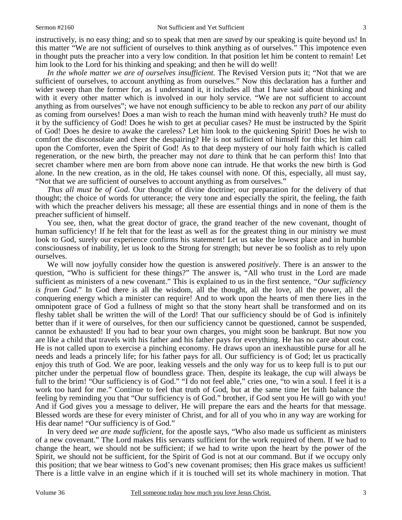instructively, is no easy thing; and so to speak that men are *saved* by our speaking is quite beyond us! In this matter "We are not sufficient of ourselves to think anything as of ourselves." This impotence even in thought puts the preacher into a very low condition. In that position let him be content to remain! Let him look to the Lord for his thinking and speaking; and then he will do well!

*In the whole matter we are of ourselves insufficient*. The Revised Version puts it; "Not that we are sufficient of ourselves, to account anything as from ourselves." Now this declaration has a further and wider sweep than the former for, as I understand it, it includes all that I have said about thinking and with it every other matter which is involved in our holy service. "We are not sufficient to account anything as from ourselves"; we have not enough sufficiency to be able to reckon any *part* of our ability as coming from ourselves! Does a man wish to reach the human mind with heavenly truth? He must do it by the sufficiency of God! Does he wish to get at peculiar cases? He must be instructed by the Spirit of God! Does he desire to awake the careless? Let him look to the quickening Spirit! Does he wish to comfort the disconsolate and cheer the despairing? He is not sufficient of himself for this; let him call upon the Comforter, even the Spirit of God! As to that deep mystery of our holy faith which is called regeneration, or the new birth, the preacher may not *dare* to think that he can perform this! Into that secret chamber where men are born from above none can intrude. He that works the new birth is God alone. In the new creation, as in the old, He takes counsel with none. Of this, especially, all must say, "Not that we are sufficient of ourselves to account anything as from ourselves."

*Thus all must be of God*. Our thought of divine doctrine; our preparation for the delivery of that thought; the choice of words for utterance; the very tone and especially the spirit, the feeling, the faith with which the preacher delivers his message; all these are essential things and in none of them is the preacher sufficient of himself.

 You see, then, what the great doctor of grace, the grand teacher of the new covenant, thought of human sufficiency! If he felt that for the least as well as for the greatest thing in our ministry we must look to God, surely our experience confirms his statement! Let us take the lowest place and in humble consciousness of inability, let us look to the Strong for strength; but never be so foolish as to rely upon ourselves.

 We will now joyfully consider how the question is answered *positively*. There is an answer to the question, "Who is sufficient for these things?" The answer is, "All who trust in the Lord are made sufficient as ministers of a new covenant." This is explained to us in the first sentence, *"Our sufficiency is from God*." In God there is all the wisdom, all the thought, all the love, all the power, all the conquering energy which a minister can require! And to work upon the hearts of men there lies in the omnipotent grace of God a fullness of might so that the stony heart shall be transformed and on its fleshy tablet shall be written the will of the Lord! That our sufficiency should be of God is infinitely better than if it were of ourselves, for then our sufficiency cannot be questioned, cannot be suspended, cannot be exhausted! If you had to bear your own charges, you might soon be bankrupt. But now you are like a child that travels with his father and his father pays for everything. He has no care about cost. He is not called upon to exercise a pinching economy. He draws upon an inexhaustible purse for all he needs and leads a princely life; for his father pays for all. Our sufficiency is of God; let us practically enjoy this truth of God. We are poor, leaking vessels and the only way for us to keep full is to put our pitcher under the perpetual flow of boundless grace. Then, despite its leakage, the cup will always be full to the brim! "Our sufficiency is of God." "I do not feel able," cries one, "to win a soul. I feel it is a work too hard for me." Continue to feel that truth of God, but at the same time let faith balance the feeling by reminding you that "Our sufficiency is of God." brother, if God sent you He will go with you! And if God gives you a message to deliver, He will prepare the ears and the hearts for that message. Blessed words are these for every minister of Christ, and for all of you who in any way are working for His dear name! "Our sufficiency is of God."

 In very deed *we are made sufficient,* for the apostle says, "Who also made us sufficient as ministers of a new covenant." The Lord makes His servants sufficient for the work required of them. If we had to change the heart, we should not be sufficient; if we had to write upon the heart by the power of the Spirit, we should not be sufficient, for the Spirit of God is not at our command. But if we occupy only this position; that we bear witness to God's new covenant promises; then His grace makes us sufficient! There is a little valve in an engine which if it is touched will set its whole machinery in motion. That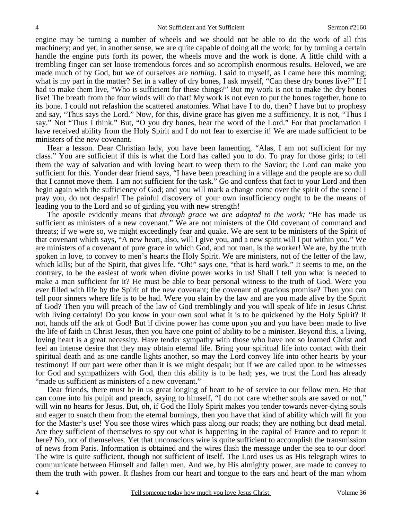engine may be turning a number of wheels and we should not be able to do the work of all this machinery; and yet, in another sense, we are quite capable of doing all the work; for by turning a certain handle the engine puts forth its power, the wheels move and the work is done. A little child with a trembling finger can set loose tremendous forces and so accomplish enormous results. Beloved, we are made much of by God, but we of ourselves are *nothing*. I said to myself, as I came here this morning; what is my part in the matter? Set in a valley of dry bones, I ask myself, "Can these dry bones live?" If I had to make them live, "Who is sufficient for these things?" But my work is not to make the dry bones live! The breath from the four winds will do that! My work is not even to put the bones together, bone to its bone. I could not refashion the scattered anatomies. What have I to do, then? I have but to prophesy and say, "Thus says the Lord." Now, for this, divine grace has given me a sufficiency. It is not, "Thus I say." Not "Thus I think." But, "O you dry bones, hear the word of the Lord." For that proclamation I have received ability from the Holy Spirit and I do not fear to exercise it! We are made sufficient to be ministers of the new covenant.

 Hear a lesson. Dear Christian lady, you have been lamenting, "Alas, I am not sufficient for my class." You are sufficient if this is what the Lord has called you to do. To pray for those girls; to tell them the way of salvation and with loving heart to weep them to the Savior; the Lord can make you sufficient for this. Yonder dear friend says, "I have been preaching in a village and the people are so dull that I cannot move them. I am not sufficient for the task." Go and confess that fact to your Lord and then begin again with the sufficiency of God; and you will mark a change come over the spirit of the scene! I pray you, do not despair! The painful discovery of your own insufficiency ought to be the means of leading you to the Lord and so of girding you with new strength!

 The apostle evidently means that *through grace we are adapted to the work;* "He has made us sufficient as ministers of a new covenant." We are not ministers of the Old covenant of command and threats; if we were so, we might exceedingly fear and quake. We are sent to be ministers of the Spirit of that covenant which says, "A new heart, also, will I give you, and a new spirit will I put within you." We are ministers of a covenant of pure grace in which God, and not man, is the worker! We are, by the truth spoken in love, to convey to men's hearts the Holy Spirit. We are ministers, not of the letter of the law, which kills; but of the Spirit, that gives life. "Oh!" says one, "that is hard work." It seems to me, on the contrary, to be the easiest of work when divine power works in us! Shall I tell you what is needed to make a man sufficient for it? He must be able to bear personal witness to the truth of God. Were you ever filled with life by the Spirit of the new covenant; the covenant of gracious promise? Then you can tell poor sinners where life is to be had. Were you slain by the law and are you made alive by the Spirit of God? Then you will preach of the law of God tremblingly and you will speak of life in Jesus Christ with living certainty! Do you know in your own soul what it is to be quickened by the Holy Spirit? If not, hands off the ark of God! But if divine power has come upon you and you have been made to live the life of faith in Christ Jesus, then you have one point of ability to be a minister. Beyond this, a living, loving heart is a great necessity. Have tender sympathy with those who have not so learned Christ and feel an intense desire that they may obtain eternal life. Bring your spiritual life into contact with their spiritual death and as one candle lights another, so may the Lord convey life into other hearts by your testimony! If our part were other than it is we might despair; but if we are called upon to be witnesses for God and sympathizers with God, then this ability is to be had; yes, we trust the Lord has already "made us sufficient as ministers of a new covenant."

 Dear friends, there must be in us great longing of heart to be of service to our fellow men. He that can come into his pulpit and preach, saying to himself, "I do not care whether souls are saved or not," will win no hearts for Jesus. But, oh, if God the Holy Spirit makes you tender towards never-dying souls and eager to snatch them from the eternal burnings, then you have that kind of ability which will fit you for the Master's use! You see those wires which pass along our roads; they are nothing but dead metal. Are they sufficient of themselves to spy out what is happening in the capital of France and to report it here? No, not of themselves. Yet that unconscious wire is quite sufficient to accomplish the transmission of news from Paris. Information is obtained and the wires flash the message under the sea to our door! The wire is quite sufficient, though not sufficient of itself. The Lord uses us as His telegraph wires to communicate between Himself and fallen men. And we, by His almighty power, are made to convey to them the truth with power. It flashes from our heart and tongue to the ears and heart of the man whom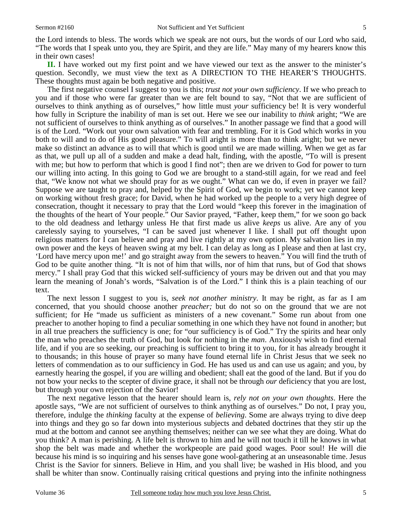the Lord intends to bless. The words which we speak are not ours, but the words of our Lord who said, "The words that I speak unto you, they are Spirit, and they are life." May many of my hearers know this in their own cases!

**II.** I have worked out my first point and we have viewed our text as the answer to the minister's question. Secondly, we must view the text as A DIRECTION TO THE HEARER'S THOUGHTS. These thoughts must again be both negative and positive.

 The first negative counsel I suggest to you is this; *trust not your own sufficiency*. If we who preach to you and if those who were far greater than we are felt bound to say, "Not that we are sufficient of ourselves to think anything as of ourselves," how little must *your* sufficiency be! It is very wonderful how fully in Scripture the inability of man is set out. Here we see our inability to *think* aright; "We are not sufficient of ourselves to think anything as of ourselves." In another passage we find that a good will is of the Lord. "Work out your own salvation with fear and trembling. For it is God which works in you both to will and to do of His good pleasure." To will aright is more than to think aright; but we never make so distinct an advance as to will that which is good until we are made willing. When we get as far as that, we pull up all of a sudden and make a dead halt, finding, with the apostle, "To will is present with me; but how to perform that which is good I find not"; then are we driven to God for power to turn our willing into acting. In this going to God we are brought to a stand-still again, for we read and feel that, "We know not what we should pray for as we ought." What can we do, if even in prayer we fail? Suppose we are taught to pray and, helped by the Spirit of God, we begin to work; yet we cannot keep on working without fresh grace; for David, when he had worked up the people to a very high degree of consecration, thought it necessary to pray that the Lord would "keep this forever in the imagination of the thoughts of the heart of Your people." Our Savior prayed, "Father, keep them," for we soon go back to the old deadness and lethargy unless He that first made us alive *keeps* us alive. Are any of you carelessly saying to yourselves, "I can be saved just whenever I like. I shall put off thought upon religious matters for I can believe and pray and live rightly at my own option. My salvation lies in my own power and the keys of heaven swing at my belt. I can delay as long as I please and then at last cry, 'Lord have mercy upon me!' and go straight away from the sewers to heaven." You will find the truth of God to be quite another thing. "It is not of him that wills, nor of him that runs, but of God that shows mercy." I shall pray God that this wicked self-sufficiency of yours may be driven out and that you may learn the meaning of Jonah's words, "Salvation is of the Lord." I think this is a plain teaching of our text.

 The next lesson I suggest to you is, *seek not another ministry*. It may be right, as far as I am concerned, that you should choose another *preacher;* but do not so on the ground that we are not sufficient; for He "made us sufficient as ministers of a new covenant." Some run about from one preacher to another hoping to find a peculiar something in one which they have not found in another; but in all true preachers the sufficiency is one; for "our sufficiency is of God." Try the spirits and hear only the man who preaches the truth of God, but look for nothing in the *man*. Anxiously wish to find eternal life, and if you are so seeking, our preaching is sufficient to bring it to you, for it has already brought it to thousands; in this house of prayer so many have found eternal life in Christ Jesus that we seek no letters of commendation as to our sufficiency in God. He has used us and can use us again; and you, by earnestly hearing the gospel, if you are willing and obedient; shall eat the good of the land. But if you do not bow your necks to the scepter of divine grace, it shall not be through *our* deficiency that you are lost, but through your own rejection of the Savior!

 The next negative lesson that the hearer should learn is, *rely not on your own thoughts*. Here the apostle says, "We are not sufficient of ourselves to think anything as of ourselves." Do not, I pray you, therefore, indulge the *thinking* faculty at the expense of *believing*. Some are always trying to dive deep into things and they go so far down into mysterious subjects and debated doctrines that they stir up the mud at the bottom and cannot see anything themselves; neither can we see what they are doing. What do you think? A man is perishing. A life belt is thrown to him and he will not touch it till he knows in what shop the belt was made and whether the workpeople are paid good wages. Poor soul! He will die because his mind is so inquiring and his senses have gone wool-gathering at an unseasonable time. Jesus Christ is the Savior for sinners. Believe in Him, and you shall live; be washed in His blood, and you shall be whiter than snow. Continually raising critical questions and prying into the infinite nothingness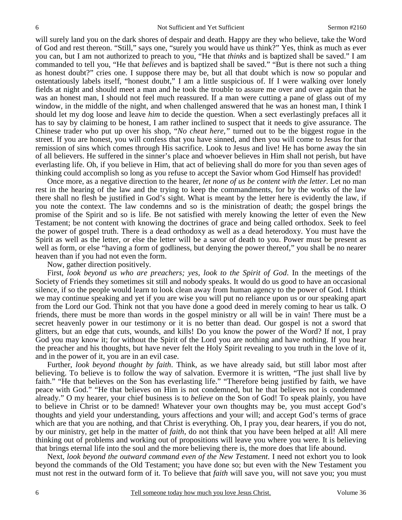will surely land you on the dark shores of despair and death. Happy are they who believe, take the Word of God and rest thereon. "Still," says one, "surely you would have us think?" Yes, think as much as ever you can, but I am not authorized to preach to you, "He that *thinks* and is baptized shall be saved." I am commanded to tell you, "He that *believes* and is baptized shall be saved." "But is there not such a thing as honest doubt?" cries one. I suppose there may be, but all that doubt which is now so popular and ostentatiously labels itself, "honest doubt," I am a little suspicious of. If I were walking over lonely fields at night and should meet a man and he took the trouble to assure me over and over again that he was an honest man, I should not feel much reassured. If a man were cutting a pane of glass out of my window, in the middle of the night, and when challenged answered that he was an honest man, I think I should let my dog loose and leave *him* to decide the question. When a sect everlastingly prefaces all it has to say by claiming to be honest, I am rather inclined to suspect that it needs to give assurance. The Chinese trader who put up over his shop, "*No cheat here,"* turned out to be the biggest rogue in the street. If you are honest, you will confess that you have sinned, and then you will come to Jesus for that remission of sins which comes through His sacrifice. Look to Jesus and live! He has borne away the sin of all believers. He suffered in the sinner's place and whoever believes in Him shall not perish, but have everlasting life. Oh, if you believe in Him, that act of believing shall do more for you than seven ages of thinking could accomplish so long as you refuse to accept the Savior whom God Himself has provided!

 Once more, as a negative direction to the hearer, *let none of us be content with the letter*. Let no man rest in the hearing of the law and the trying to keep the commandments, for by the works of the law there shall no flesh be justified in God's sight. What is meant by the letter here is evidently the law, if you note the context. The law condemns and so is the ministration of death; the gospel brings the promise of the Spirit and so is life. Be not satisfied with merely knowing the letter of even the New Testament; be not content with knowing the doctrines of grace and being called orthodox. Seek to feel the power of gospel truth. There is a dead orthodoxy as well as a dead heterodoxy. You must have the Spirit as well as the letter, or else the letter will be a savor of death to you. Power must be present as well as form, or else "having a form of godliness, but denying the power thereof," you shall be no nearer heaven than if you had not even the form.

### Now, gather direction positively.

 First, *look beyond us who are preachers; yes, look to the Spirit of God*. In the meetings of the Society of Friends they sometimes sit still and nobody speaks. It would do us good to have an occasional silence, if so the people would learn to look clean away from human agency to the power of God. I think we may continue speaking and yet if you are wise you will put no reliance upon us or our speaking apart from the Lord our God. Think not that you have done a good deed in merely coming to hear us talk. O friends, there must be more than words in the gospel ministry or all will be in vain! There must be a secret heavenly power in our testimony or it is no better than dead. Our gospel is not a sword that glitters, but an edge that cuts, wounds, and kills! Do you know the power of the Word? If not, I pray God you may know it; for without the Spirit of the Lord you are nothing and have nothing. If you hear the preacher and his thoughts, but have never felt the Holy Spirit revealing to you truth in the love of it, and in the power of it, you are in an evil case.

 Further, *look beyond thought by faith*. Think, as we have already said, but still labor most after believing. To believe is to follow the way of salvation. Evermore it is written, "The just shall live by faith." "He that believes on the Son has everlasting life." "Therefore being justified by faith, we have peace with God." "He that believes on Him is not condemned, but he that believes not is condemned already." O my hearer, your chief business is to *believe* on the Son of God! To speak plainly, you have to believe in Christ or to be damned! Whatever your own thoughts may be, you must accept God's thoughts and yield your understanding, yours affections and your will; and accept God's terms of grace which are that you are nothing, and that Christ is everything. Oh, I pray you, dear hearers, if you do not, by our ministry, get help in the matter of *faith*, do not think that you have been helped at all! All mere thinking out of problems and working out of propositions will leave you where you were. It is believing that brings eternal life into the soul and the more believing there is, the more does that life abound.

 Next, *look beyond the outward command even of the New Testament*. I need not exhort you to look beyond the commands of the Old Testament; you have done so; but even with the New Testament you must not rest in the outward form of it. To believe that *faith* will save you, will not save you; you must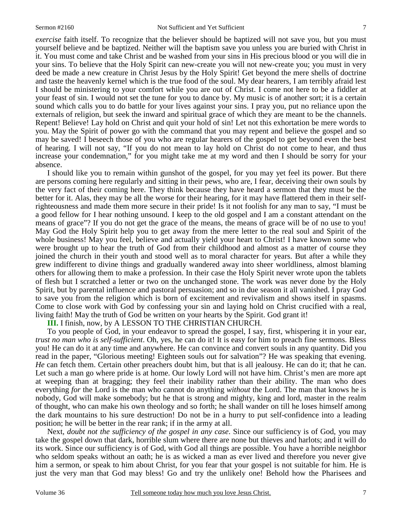*exercise* faith itself. To recognize that the believer should be baptized will not save you, but you must yourself believe and be baptized. Neither will the baptism save you unless you are buried with Christ in it. You must come and take Christ and be washed from your sins in His precious blood or you will die in your sins. To believe that the Holy Spirit can new-create you will not new-create you; you must in very deed be made a new creature in Christ Jesus by the Holy Spirit! Get beyond the mere shells of doctrine and taste the heavenly kernel which is the true food of the soul. My dear hearers, I am terribly afraid lest I should be ministering to your comfort while you are out of Christ. I come not here to be a fiddler at your feast of sin. I would not set the tune for you to dance by. My music is of another sort; it is a certain sound which calls you to do battle for your lives against your sins. I pray you, put no reliance upon the externals of religion, but seek the inward and spiritual grace of which they are meant to be the channels. Repent! Believe! Lay hold on Christ and quit your hold of sin! Let not this exhortation be mere words to you. May the Spirit of power go with the command that you may repent and believe the gospel and so may be saved! I beseech those of you who are regular hearers of the gospel to get beyond even the best of hearing. I will not say, "If you do not mean to lay hold on Christ do not come to hear, and thus increase your condemnation," for you might take me at my word and then I should be sorry for your absence.

 I should like you to remain within gunshot of the gospel, for you may yet feel its power. But there are persons coming here regularly and sitting in their pews, who are, I fear, deceiving their own souls by the very fact of their coming here. They think because they have heard a sermon that they must be the better for it. Alas, they may be all the worse for their hearing, for it may have flattered them in their selfrighteousness and made them more secure in their pride! Is it not foolish for any man to say, "I must be a good fellow for I hear nothing unsound. I keep to the old gospel and I am a constant attendant on the means of grace"? If you do not get the grace of the means, the means of grace will be of no use to you! May God the Holy Spirit help you to get away from the mere letter to the real soul and Spirit of the whole business! May you feel, believe and actually yield your heart to Christ! I have known some who were brought up to hear the truth of God from their childhood and almost as a matter of course they joined the church in their youth and stood well as to moral character for years. But after a while they grew indifferent to divine things and gradually wandered away into sheer worldliness, almost blaming others for allowing them to make a profession. In their case the Holy Spirit never wrote upon the tablets of flesh but I scratched a letter or two on the unchanged stone. The work was never done by the Holy Spirit, but by parental influence and pastoral persuasion; and so in due season it all vanished. I pray God to save you from the religion which is born of excitement and revivalism and shows itself in spasms. Come to close work with God by confessing your sin and laying hold on Christ crucified with a real, living faith! May the truth of God be written on your hearts by the Spirit. God grant it!

**III.** I finish, now, by A LESSON TO THE CHRISTIAN CHURCH.

 To you people of God, in your endeavor to spread the gospel, I say, first, whispering it in your ear, *trust no man who is self-sufficient*. Oh, yes, he can do it! It is easy for him to preach fine sermons. Bless you! He can do it at any time and anywhere. He can convince and convert souls in any quantity. Did you read in the paper, "Glorious meeting! Eighteen souls out for salvation"? He was speaking that evening. *He* can fetch them. Certain other preachers doubt him, but that is all jealousy. He can do it; that he can. Let such a man go where pride is at home. Our lowly Lord will not have him. Christ's men are more apt at weeping than at bragging; they feel their inability rather than their ability. The man who does everything *for* the Lord is the man who cannot do anything *without* the Lord. The man that knows he is nobody, God will make somebody; but he that is strong and mighty, king and lord, master in the realm of thought, who can make his own theology and so forth; he shall wander on till he loses himself among the dark mountains to his sure destruction! Do not be in a hurry to put self-confidence into a leading position; he will be better in the rear rank; if in the army at all.

 Next, *doubt not the sufficiency of the gospel in any case*. Since our sufficiency is of God, you may take the gospel down that dark, horrible slum where there are none but thieves and harlots; and it will do its work. Since our sufficiency is of God, with God all things are possible. You have a horrible neighbor who seldom speaks without an oath; he is as wicked a man as ever lived and therefore you never give him a sermon, or speak to him about Christ, for you fear that your gospel is not suitable for him. He is just the very man that God may bless! Go and try the unlikely one! Behold how the Pharisees and